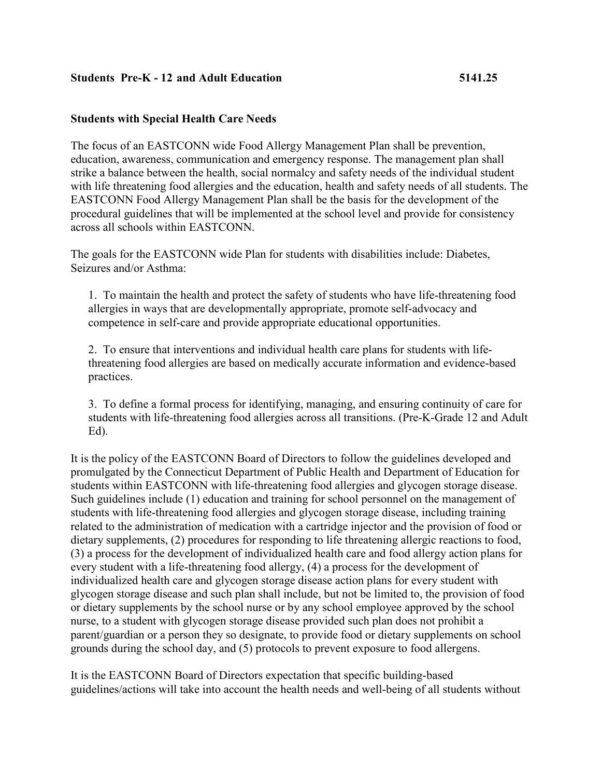#### **Students Pre-K - 12 and Adult Education 5141.25**

#### **Students with Special Health Care Needs**

The focus of an EASTCONN wide Food Allergy Management Plan shall be prevention, education, awareness, communication and emergency response. The management plan shall strike a balance between the health, social normalcy and safety needs of the individual student with life threatening food allergies and the education, health and safety needs of all students. The EASTCONN Food Allergy Management Plan shall be the basis for the development of the procedural guidelines that will be implemented at the school level and provide for consistency across all schools within EASTCONN.

The goals for the EASTCONN wide Plan for students with disabilities include: Diabetes, Seizures and/or Asthma:

1. To maintain the health and protect the safety of students who have life-threatening food allergies in ways that are developmentally appropriate, promote self-advocacy and competence in self-care and provide appropriate educational opportunities.

2. To ensure that interventions and individual health care plans for students with lifethreatening food allergies are based on medically accurate information and evidence-based practices.

3. To define a formal process for identifying, managing, and ensuring continuity of care for students with life-threatening food allergies across all transitions. (Pre-K-Grade 12 and Adult Ed).

It is the policy of the EASTCONN Board of Directors to follow the guidelines developed and promulgated by the Connecticut Department of Public Health and Department of Education for students within EASTCONN with life-threatening food allergies and glycogen storage disease. Such guidelines include (1) education and training for school personnel on the management of students with life-threatening food allergies and glycogen storage disease, including training related to the administration of medication with a cartridge injector and the provision of food or dietary supplements, (2) procedures for responding to life threatening allergic reactions to food, (3) a process for the development of individualized health care and food allergy action plans for every student with a life-threatening food allergy, (4) a process for the development of individualized health care and glycogen storage disease action plans for every student with glycogen storage disease and such plan shall include, but not be limited to, the provision of food or dietary supplements by the school nurse or by any school employee approved by the school nurse, to a student with glycogen storage disease provided such plan does not prohibit a parent/guardian or a person they so designate, to provide food or dietary supplements on school grounds during the school day, and (5) protocols to prevent exposure to food allergens.

It is the EASTCONN Board of Directors expectation that specific building-based guidelines/actions will take into account the health needs and well-being of all students without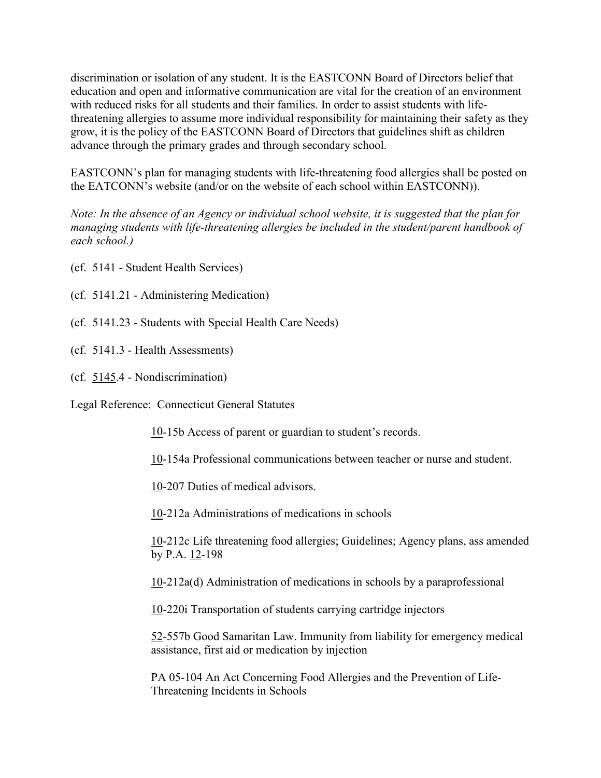discrimination or isolation of any student. It is the EASTCONN Board of Directors belief that education and open and informative communication are vital for the creation of an environment with reduced risks for all students and their families. In order to assist students with lifethreatening allergies to assume more individual responsibility for maintaining their safety as they grow, it is the policy of the EASTCONN Board of Directors that guidelines shift as children advance through the primary grades and through secondary school.

EASTCONN's plan for managing students with life-threatening food allergies shall be posted on the EATCONN's website (and/or on the website of each school within EASTCONN)).

*Note: In the absence of an Agency or individual school website, it is suggested that the plan for managing students with life-threatening allergies be included in the student/parent handbook of each school.)*

(cf. 5141 - Student Health Services)

(cf. 5141.21 - Administering Medication)

- (cf. 5141.23 Students with Special Health Care Needs)
- (cf. 5141.3 Health Assessments)
- (cf. [5145.](http://z2policy.cabe.org/cabe/DocViewer.jsp?docid=322&z2collection=core#JD_5145)4 Nondiscrimination)

Legal Reference: Connecticut General Statutes

[10-](http://www.cga.ct.gov/2011/pub/Title10.htm)15b Access of parent or guardian to student's records.

[10-](http://www.cga.ct.gov/2011/pub/Title10.htm)154a Professional communications between teacher or nurse and student.

[10-](http://www.cga.ct.gov/2011/pub/Title10.htm)207 Duties of medical advisors.

[10-](http://www.cga.ct.gov/2011/pub/Title10.htm)212a Administrations of medications in schools

[10-](http://www.cga.ct.gov/2011/pub/Title10.htm)212c Life threatening food allergies; Guidelines; Agency plans, ass amended by P.A.  $12-198$  $12-198$ 

[10-](http://www.cga.ct.gov/2011/pub/Title10.htm)212a(d) Administration of medications in schools by a paraprofessional

[10-](http://www.cga.ct.gov/2011/pub/Title10.htm)220i Transportation of students carrying cartridge injectors

[52-](http://www.cga.ct.gov/2011/pub/Title52.htm)557b Good Samaritan Law. Immunity from liability for emergency medical assistance, first aid or medication by injection

PA 05-104 An Act Concerning Food Allergies and the Prevention of Life-Threatening Incidents in Schools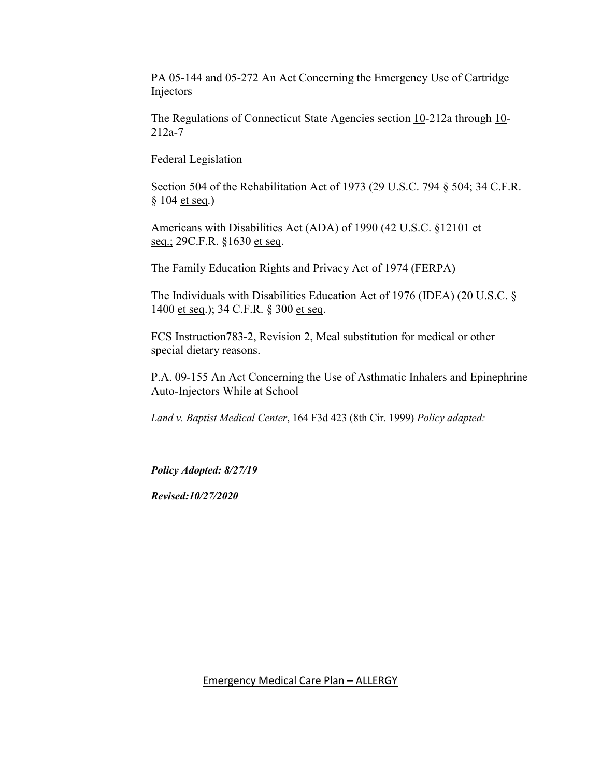PA 05-144 and 05-272 An Act Concerning the Emergency Use of Cartridge Injectors

The Regulations of Connecticut State Agencies section [10-](http://www.cga.ct.gov/2011/pub/Title10.htm)212a through 10-212a-7

Federal Legislation

Section 504 of the Rehabilitation Act of 1973 (29 U.S.C. 794 § 504; 34 C.F.R. § 104 et seq.)

Americans with Disabilities Act (ADA) of 1990 (42 U.S.C. §12101 et seq.; 29C.F.R. §1630 et seq.

The Family Education Rights and Privacy Act of 1974 (FERPA)

The Individuals with Disabilities Education Act of 1976 (IDEA) (20 U.S.C. § 1400 et seq.); 34 C.F.R. § 300 et seq.

FCS Instruction783-2, Revision 2, Meal substitution for medical or other special dietary reasons.

P.A. 09-155 An Act Concerning the Use of Asthmatic Inhalers and Epinephrine Auto-Injectors While at School

*Land v. Baptist Medical Center*, 164 F3d 423 (8th Cir. 1999) *Policy adapted:*

*Policy Adopted: 8/27/19*

*Revised:10/27/2020*

Emergency Medical Care Plan – ALLERGY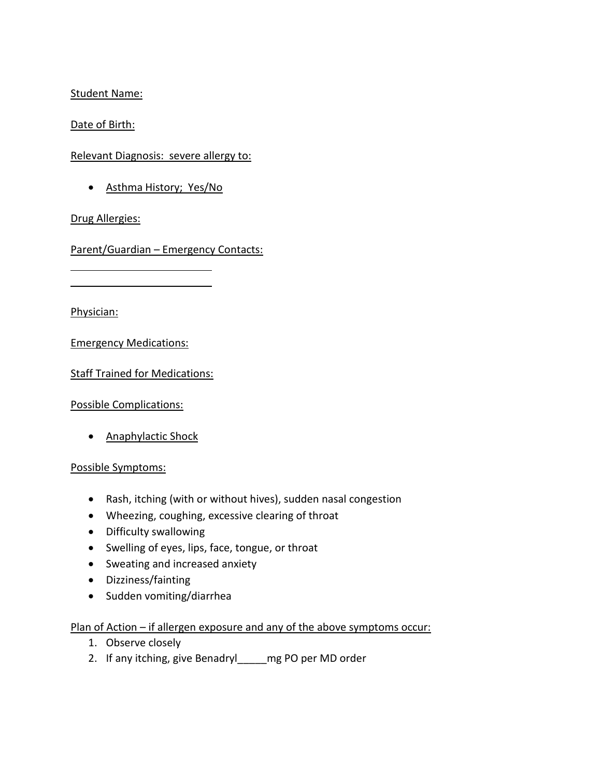## Student Name:

Date of Birth:

Relevant Diagnosis: severe allergy to:

• Asthma History; Yes/No

## Drug Allergies:

Parent/Guardian – Emergency Contacts:

Physician:

Emergency Medications:

Staff Trained for Medications:

Possible Complications:

• **Anaphylactic Shock** 

### Possible Symptoms:

- Rash, itching (with or without hives), sudden nasal congestion
- Wheezing, coughing, excessive clearing of throat
- Difficulty swallowing
- Swelling of eyes, lips, face, tongue, or throat
- Sweating and increased anxiety
- Dizziness/fainting
- Sudden vomiting/diarrhea

# Plan of Action – if allergen exposure and any of the above symptoms occur:

- 1. Observe closely
- 2. If any itching, give Benadryl\_\_\_\_\_mg PO per MD order